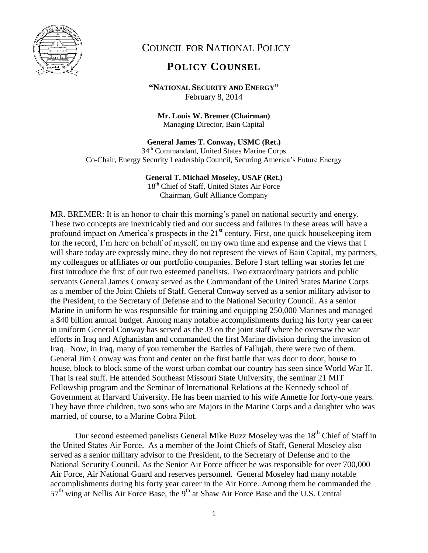

## COUNCIL FOR NATIONAL POLICY

## **POLICY COUNSEL**

**"NATIONAL SECURITY AND ENERGY"** February 8, 2014

**Mr. Louis W. Bremer (Chairman)** Managing Director, Bain Capital

## **General James T. Conway, USMC (Ret.)**

34th Commandant, United States Marine Corps Co-Chair, Energy Security Leadership Council, Securing America's Future Energy

## **General T. Michael Moseley, USAF (Ret.)**

18<sup>th</sup> Chief of Staff, United States Air Force Chairman, Gulf Alliance Company

MR. BREMER: It is an honor to chair this morning's panel on national security and energy. These two concepts are inextricably tied and our success and failures in these areas will have a profound impact on America's prospects in the  $21<sup>st</sup>$  century. First, one quick housekeeping item for the record, I'm here on behalf of myself, on my own time and expense and the views that I will share today are expressly mine, they do not represent the views of Bain Capital, my partners, my colleagues or affiliates or our portfolio companies. Before I start telling war stories let me first introduce the first of our two esteemed panelists. Two extraordinary patriots and public servants General James Conway served as the Commandant of the United States Marine Corps as a member of the Joint Chiefs of Staff. General Conway served as a senior military advisor to the President, to the Secretary of Defense and to the National Security Council. As a senior Marine in uniform he was responsible for training and equipping 250,000 Marines and managed a \$40 billion annual budget. Among many notable accomplishments during his forty year career in uniform General Conway has served as the J3 on the joint staff where he oversaw the war efforts in Iraq and Afghanistan and commanded the first Marine division during the invasion of Iraq. Now, in Iraq, many of you remember the Battles of Fallujah, there were two of them. General Jim Conway was front and center on the first battle that was door to door, house to house, block to block some of the worst urban combat our country has seen since World War II. That is real stuff. He attended Southeast Missouri State University, the seminar 21 MIT Fellowship program and the Seminar of International Relations at the Kennedy school of Government at Harvard University. He has been married to his wife Annette for forty-one years. They have three children, two sons who are Majors in the Marine Corps and a daughter who was married, of course, to a Marine Cobra Pilot.

Our second esteemed panelists General Mike Buzz Moseley was the  $18<sup>th</sup>$  Chief of Staff in the United States Air Force. As a member of the Joint Chiefs of Staff, General Moseley also served as a senior military advisor to the President, to the Secretary of Defense and to the National Security Council. As the Senior Air Force officer he was responsible for over 700,000 Air Force, Air National Guard and reserves personnel. General Moseley had many notable accomplishments during his forty year career in the Air Force. Among them he commanded the 57<sup>th</sup> wing at Nellis Air Force Base, the 9<sup>th</sup> at Shaw Air Force Base and the U.S. Central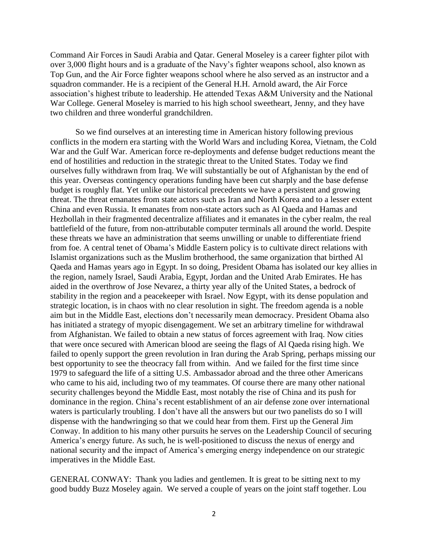Command Air Forces in Saudi Arabia and Qatar. General Moseley is a career fighter pilot with over 3,000 flight hours and is a graduate of the Navy's fighter weapons school, also known as Top Gun, and the Air Force fighter weapons school where he also served as an instructor and a squadron commander. He is a recipient of the General H.H. Arnold award, the Air Force association's highest tribute to leadership. He attended Texas A&M University and the National War College. General Moseley is married to his high school sweetheart, Jenny, and they have two children and three wonderful grandchildren.

So we find ourselves at an interesting time in American history following previous conflicts in the modern era starting with the World Wars and including Korea, Vietnam, the Cold War and the Gulf War. American force re-deployments and defense budget reductions meant the end of hostilities and reduction in the strategic threat to the United States. Today we find ourselves fully withdrawn from Iraq. We will substantially be out of Afghanistan by the end of this year. Overseas contingency operations funding have been cut sharply and the base defense budget is roughly flat. Yet unlike our historical precedents we have a persistent and growing threat. The threat emanates from state actors such as Iran and North Korea and to a lesser extent China and even Russia. It emanates from non-state actors such as Al Qaeda and Hamas and Hezbollah in their fragmented decentralize affiliates and it emanates in the cyber realm, the real battlefield of the future, from non-attributable computer terminals all around the world. Despite these threats we have an administration that seems unwilling or unable to differentiate friend from foe. A central tenet of Obama's Middle Eastern policy is to cultivate direct relations with Islamist organizations such as the Muslim brotherhood, the same organization that birthed Al Qaeda and Hamas years ago in Egypt. In so doing, President Obama has isolated our key allies in the region, namely Israel, Saudi Arabia, Egypt, Jordan and the United Arab Emirates. He has aided in the overthrow of Jose Nevarez, a thirty year ally of the United States, a bedrock of stability in the region and a peacekeeper with Israel. Now Egypt, with its dense population and strategic location, is in chaos with no clear resolution in sight. The freedom agenda is a noble aim but in the Middle East, elections don't necessarily mean democracy. President Obama also has initiated a strategy of myopic disengagement. We set an arbitrary timeline for withdrawal from Afghanistan. We failed to obtain a new status of forces agreement with Iraq. Now cities that were once secured with American blood are seeing the flags of Al Qaeda rising high. We failed to openly support the green revolution in Iran during the Arab Spring, perhaps missing our best opportunity to see the theocracy fall from within. And we failed for the first time since 1979 to safeguard the life of a sitting U.S. Ambassador abroad and the three other Americans who came to his aid, including two of my teammates. Of course there are many other national security challenges beyond the Middle East, most notably the rise of China and its push for dominance in the region. China's recent establishment of an air defense zone over international waters is particularly troubling. I don't have all the answers but our two panelists do so I will dispense with the handwringing so that we could hear from them. First up the General Jim Conway. In addition to his many other pursuits he serves on the Leadership Council of securing America's energy future. As such, he is well-positioned to discuss the nexus of energy and national security and the impact of America's emerging energy independence on our strategic imperatives in the Middle East.

GENERAL CONWAY: Thank you ladies and gentlemen. It is great to be sitting next to my good buddy Buzz Moseley again. We served a couple of years on the joint staff together. Lou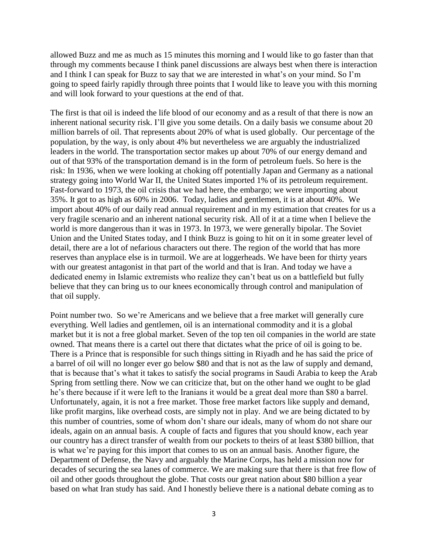allowed Buzz and me as much as 15 minutes this morning and I would like to go faster than that through my comments because I think panel discussions are always best when there is interaction and I think I can speak for Buzz to say that we are interested in what's on your mind. So I'm going to speed fairly rapidly through three points that I would like to leave you with this morning and will look forward to your questions at the end of that.

The first is that oil is indeed the life blood of our economy and as a result of that there is now an inherent national security risk. I'll give you some details. On a daily basis we consume about 20 million barrels of oil. That represents about 20% of what is used globally. Our percentage of the population, by the way, is only about 4% but nevertheless we are arguably the industrialized leaders in the world. The transportation sector makes up about 70% of our energy demand and out of that 93% of the transportation demand is in the form of petroleum fuels. So here is the risk: In 1936, when we were looking at choking off potentially Japan and Germany as a national strategy going into World War II, the United States imported 1% of its petroleum requirement. Fast-forward to 1973, the oil crisis that we had here, the embargo; we were importing about 35%. It got to as high as 60% in 2006. Today, ladies and gentlemen, it is at about 40%. We import about 40% of our daily read annual requirement and in my estimation that creates for us a very fragile scenario and an inherent national security risk. All of it at a time when I believe the world is more dangerous than it was in 1973. In 1973, we were generally bipolar. The Soviet Union and the United States today, and I think Buzz is going to hit on it in some greater level of detail, there are a lot of nefarious characters out there. The region of the world that has more reserves than anyplace else is in turmoil. We are at loggerheads. We have been for thirty years with our greatest antagonist in that part of the world and that is Iran. And today we have a dedicated enemy in Islamic extremists who realize they can't beat us on a battlefield but fully believe that they can bring us to our knees economically through control and manipulation of that oil supply.

Point number two. So we're Americans and we believe that a free market will generally cure everything. Well ladies and gentlemen, oil is an international commodity and it is a global market but it is not a free global market. Seven of the top ten oil companies in the world are state owned. That means there is a cartel out there that dictates what the price of oil is going to be. There is a Prince that is responsible for such things sitting in Riyadh and he has said the price of a barrel of oil will no longer ever go below \$80 and that is not as the law of supply and demand, that is because that's what it takes to satisfy the social programs in Saudi Arabia to keep the Arab Spring from settling there. Now we can criticize that, but on the other hand we ought to be glad he's there because if it were left to the Iranians it would be a great deal more than \$80 a barrel. Unfortunately, again, it is not a free market. Those free market factors like supply and demand, like profit margins, like overhead costs, are simply not in play. And we are being dictated to by this number of countries, some of whom don't share our ideals, many of whom do not share our ideals, again on an annual basis. A couple of facts and figures that you should know, each year our country has a direct transfer of wealth from our pockets to theirs of at least \$380 billion, that is what we're paying for this import that comes to us on an annual basis. Another figure, the Department of Defense, the Navy and arguably the Marine Corps, has held a mission now for decades of securing the sea lanes of commerce. We are making sure that there is that free flow of oil and other goods throughout the globe. That costs our great nation about \$80 billion a year based on what Iran study has said. And I honestly believe there is a national debate coming as to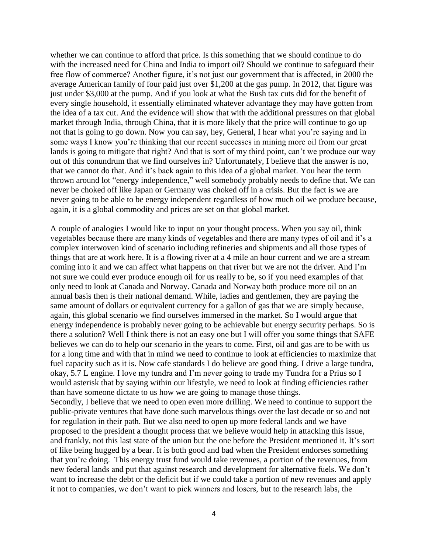whether we can continue to afford that price. Is this something that we should continue to do with the increased need for China and India to import oil? Should we continue to safeguard their free flow of commerce? Another figure, it's not just our government that is affected, in 2000 the average American family of four paid just over \$1,200 at the gas pump. In 2012, that figure was just under \$3,000 at the pump. And if you look at what the Bush tax cuts did for the benefit of every single household, it essentially eliminated whatever advantage they may have gotten from the idea of a tax cut. And the evidence will show that with the additional pressures on that global market through India, through China, that it is more likely that the price will continue to go up not that is going to go down. Now you can say, hey, General, I hear what you're saying and in some ways I know you're thinking that our recent successes in mining more oil from our great lands is going to mitigate that right? And that is sort of my third point, can't we produce our way out of this conundrum that we find ourselves in? Unfortunately, I believe that the answer is no, that we cannot do that. And it's back again to this idea of a global market. You hear the term thrown around lot "energy independence," well somebody probably needs to define that. We can never be choked off like Japan or Germany was choked off in a crisis. But the fact is we are never going to be able to be energy independent regardless of how much oil we produce because, again, it is a global commodity and prices are set on that global market.

A couple of analogies I would like to input on your thought process. When you say oil, think vegetables because there are many kinds of vegetables and there are many types of oil and it's a complex interwoven kind of scenario including refineries and shipments and all those types of things that are at work here. It is a flowing river at a 4 mile an hour current and we are a stream coming into it and we can affect what happens on that river but we are not the driver. And I'm not sure we could ever produce enough oil for us really to be, so if you need examples of that only need to look at Canada and Norway. Canada and Norway both produce more oil on an annual basis then is their national demand. While, ladies and gentlemen, they are paying the same amount of dollars or equivalent currency for a gallon of gas that we are simply because, again, this global scenario we find ourselves immersed in the market. So I would argue that energy independence is probably never going to be achievable but energy security perhaps. So is there a solution? Well I think there is not an easy one but I will offer you some things that SAFE believes we can do to help our scenario in the years to come. First, oil and gas are to be with us for a long time and with that in mind we need to continue to look at efficiencies to maximize that fuel capacity such as it is. Now cafe standards I do believe are good thing. I drive a large tundra, okay, 5.7 L engine. I love my tundra and I'm never going to trade my Tundra for a Prius so I would asterisk that by saying within our lifestyle, we need to look at finding efficiencies rather than have someone dictate to us how we are going to manage those things. Secondly, I believe that we need to open even more drilling. We need to continue to support the public-private ventures that have done such marvelous things over the last decade or so and not for regulation in their path. But we also need to open up more federal lands and we have proposed to the president a thought process that we believe would help in attacking this issue, and frankly, not this last state of the union but the one before the President mentioned it. It's sort of like being hugged by a bear. It is both good and bad when the President endorses something that you're doing. This energy trust fund would take revenues, a portion of the revenues, from new federal lands and put that against research and development for alternative fuels. We don't want to increase the debt or the deficit but if we could take a portion of new revenues and apply it not to companies, we don't want to pick winners and losers, but to the research labs, the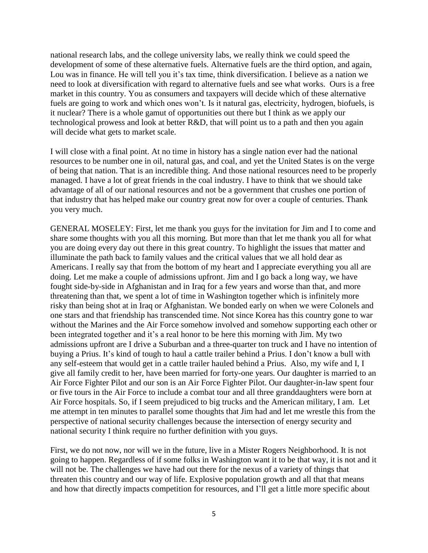national research labs, and the college university labs, we really think we could speed the development of some of these alternative fuels. Alternative fuels are the third option, and again, Lou was in finance. He will tell you it's tax time, think diversification. I believe as a nation we need to look at diversification with regard to alternative fuels and see what works. Ours is a free market in this country. You as consumers and taxpayers will decide which of these alternative fuels are going to work and which ones won't. Is it natural gas, electricity, hydrogen, biofuels, is it nuclear? There is a whole gamut of opportunities out there but I think as we apply our technological prowess and look at better R&D, that will point us to a path and then you again will decide what gets to market scale.

I will close with a final point. At no time in history has a single nation ever had the national resources to be number one in oil, natural gas, and coal, and yet the United States is on the verge of being that nation. That is an incredible thing. And those national resources need to be properly managed. I have a lot of great friends in the coal industry. I have to think that we should take advantage of all of our national resources and not be a government that crushes one portion of that industry that has helped make our country great now for over a couple of centuries. Thank you very much.

GENERAL MOSELEY: First, let me thank you guys for the invitation for Jim and I to come and share some thoughts with you all this morning. But more than that let me thank you all for what you are doing every day out there in this great country. To highlight the issues that matter and illuminate the path back to family values and the critical values that we all hold dear as Americans. I really say that from the bottom of my heart and I appreciate everything you all are doing. Let me make a couple of admissions upfront. Jim and I go back a long way, we have fought side-by-side in Afghanistan and in Iraq for a few years and worse than that, and more threatening than that, we spent a lot of time in Washington together which is infinitely more risky than being shot at in Iraq or Afghanistan. We bonded early on when we were Colonels and one stars and that friendship has transcended time. Not since Korea has this country gone to war without the Marines and the Air Force somehow involved and somehow supporting each other or been integrated together and it's a real honor to be here this morning with Jim. My two admissions upfront are I drive a Suburban and a three-quarter ton truck and I have no intention of buying a Prius. It's kind of tough to haul a cattle trailer behind a Prius. I don't know a bull with any self-esteem that would get in a cattle trailer hauled behind a Prius. Also, my wife and I, I give all family credit to her, have been married for forty-one years. Our daughter is married to an Air Force Fighter Pilot and our son is an Air Force Fighter Pilot. Our daughter-in-law spent four or five tours in the Air Force to include a combat tour and all three granddaughters were born at Air Force hospitals. So, if I seem prejudiced to big trucks and the American military, I am. Let me attempt in ten minutes to parallel some thoughts that Jim had and let me wrestle this from the perspective of national security challenges because the intersection of energy security and national security I think require no further definition with you guys.

First, we do not now, nor will we in the future, live in a Mister Rogers Neighborhood. It is not going to happen. Regardless of if some folks in Washington want it to be that way, it is not and it will not be. The challenges we have had out there for the nexus of a variety of things that threaten this country and our way of life. Explosive population growth and all that that means and how that directly impacts competition for resources, and I'll get a little more specific about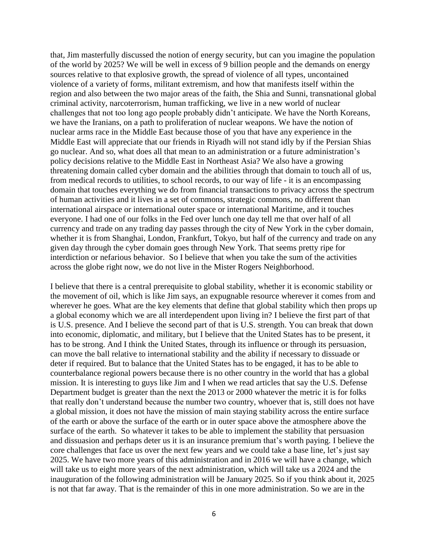that, Jim masterfully discussed the notion of energy security, but can you imagine the population of the world by 2025? We will be well in excess of 9 billion people and the demands on energy sources relative to that explosive growth, the spread of violence of all types, uncontained violence of a variety of forms, militant extremism, and how that manifests itself within the region and also between the two major areas of the faith, the Shia and Sunni, transnational global criminal activity, narcoterrorism, human trafficking, we live in a new world of nuclear challenges that not too long ago people probably didn't anticipate. We have the North Koreans, we have the Iranians, on a path to proliferation of nuclear weapons. We have the notion of nuclear arms race in the Middle East because those of you that have any experience in the Middle East will appreciate that our friends in Riyadh will not stand idly by if the Persian Shias go nuclear. And so, what does all that mean to an administration or a future administration's policy decisions relative to the Middle East in Northeast Asia? We also have a growing threatening domain called cyber domain and the abilities through that domain to touch all of us, from medical records to utilities, to school records, to our way of life - it is an encompassing domain that touches everything we do from financial transactions to privacy across the spectrum of human activities and it lives in a set of commons, strategic commons, no different than international airspace or international outer space or international Maritime, and it touches everyone. I had one of our folks in the Fed over lunch one day tell me that over half of all currency and trade on any trading day passes through the city of New York in the cyber domain, whether it is from Shanghai, London, Frankfurt, Tokyo, but half of the currency and trade on any given day through the cyber domain goes through New York. That seems pretty ripe for interdiction or nefarious behavior. So I believe that when you take the sum of the activities across the globe right now, we do not live in the Mister Rogers Neighborhood.

I believe that there is a central prerequisite to global stability, whether it is economic stability or the movement of oil, which is like Jim says, an expugnable resource wherever it comes from and wherever he goes. What are the key elements that define that global stability which then props up a global economy which we are all interdependent upon living in? I believe the first part of that is U.S. presence. And I believe the second part of that is U.S. strength. You can break that down into economic, diplomatic, and military, but I believe that the United States has to be present, it has to be strong. And I think the United States, through its influence or through its persuasion, can move the ball relative to international stability and the ability if necessary to dissuade or deter if required. But to balance that the United States has to be engaged, it has to be able to counterbalance regional powers because there is no other country in the world that has a global mission. It is interesting to guys like Jim and I when we read articles that say the U.S. Defense Department budget is greater than the next the 2013 or 2000 whatever the metric it is for folks that really don't understand because the number two country, whoever that is, still does not have a global mission, it does not have the mission of main staying stability across the entire surface of the earth or above the surface of the earth or in outer space above the atmosphere above the surface of the earth. So whatever it takes to be able to implement the stability that persuasion and dissuasion and perhaps deter us it is an insurance premium that's worth paying. I believe the core challenges that face us over the next few years and we could take a base line, let's just say 2025. We have two more years of this administration and in 2016 we will have a change, which will take us to eight more years of the next administration, which will take us a 2024 and the inauguration of the following administration will be January 2025. So if you think about it, 2025 is not that far away. That is the remainder of this in one more administration. So we are in the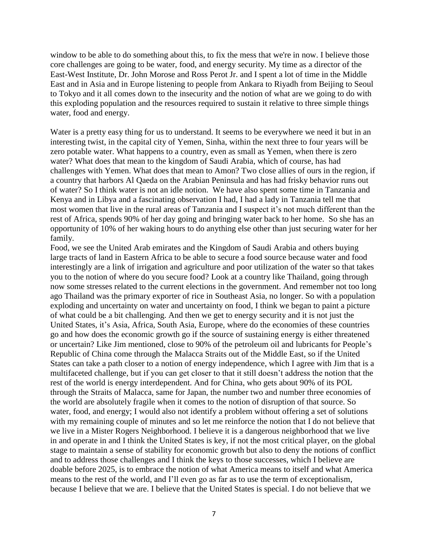window to be able to do something about this, to fix the mess that we're in now. I believe those core challenges are going to be water, food, and energy security. My time as a director of the East-West Institute, Dr. John Morose and Ross Perot Jr. and I spent a lot of time in the Middle East and in Asia and in Europe listening to people from Ankara to Riyadh from Beijing to Seoul to Tokyo and it all comes down to the insecurity and the notion of what are we going to do with this exploding population and the resources required to sustain it relative to three simple things water, food and energy.

Water is a pretty easy thing for us to understand. It seems to be everywhere we need it but in an interesting twist, in the capital city of Yemen, Sinha, within the next three to four years will be zero potable water. What happens to a country, even as small as Yemen, when there is zero water? What does that mean to the kingdom of Saudi Arabia, which of course, has had challenges with Yemen. What does that mean to Amon? Two close allies of ours in the region, if a country that harbors Al Qaeda on the Arabian Peninsula and has had frisky behavior runs out of water? So I think water is not an idle notion. We have also spent some time in Tanzania and Kenya and in Libya and a fascinating observation I had, I had a lady in Tanzania tell me that most women that live in the rural areas of Tanzania and I suspect it's not much different than the rest of Africa, spends 90% of her day going and bringing water back to her home. So she has an opportunity of 10% of her waking hours to do anything else other than just securing water for her family.

Food, we see the United Arab emirates and the Kingdom of Saudi Arabia and others buying large tracts of land in Eastern Africa to be able to secure a food source because water and food interestingly are a link of irrigation and agriculture and poor utilization of the water so that takes you to the notion of where do you secure food? Look at a country like Thailand, going through now some stresses related to the current elections in the government. And remember not too long ago Thailand was the primary exporter of rice in Southeast Asia, no longer. So with a population exploding and uncertainty on water and uncertainty on food, I think we began to paint a picture of what could be a bit challenging. And then we get to energy security and it is not just the United States, it's Asia, Africa, South Asia, Europe, where do the economies of these countries go and how does the economic growth go if the source of sustaining energy is either threatened or uncertain? Like Jim mentioned, close to 90% of the petroleum oil and lubricants for People's Republic of China come through the Malacca Straits out of the Middle East, so if the United States can take a path closer to a notion of energy independence, which I agree with Jim that is a multifaceted challenge, but if you can get closer to that it still doesn't address the notion that the rest of the world is energy interdependent. And for China, who gets about 90% of its POL through the Straits of Malacca, same for Japan, the number two and number three economies of the world are absolutely fragile when it comes to the notion of disruption of that source. So water, food, and energy; I would also not identify a problem without offering a set of solutions with my remaining couple of minutes and so let me reinforce the notion that I do not believe that we live in a Mister Rogers Neighborhood. I believe it is a dangerous neighborhood that we live in and operate in and I think the United States is key, if not the most critical player, on the global stage to maintain a sense of stability for economic growth but also to deny the notions of conflict and to address those challenges and I think the keys to those successes, which I believe are doable before 2025, is to embrace the notion of what America means to itself and what America means to the rest of the world, and I'll even go as far as to use the term of exceptionalism, because I believe that we are. I believe that the United States is special. I do not believe that we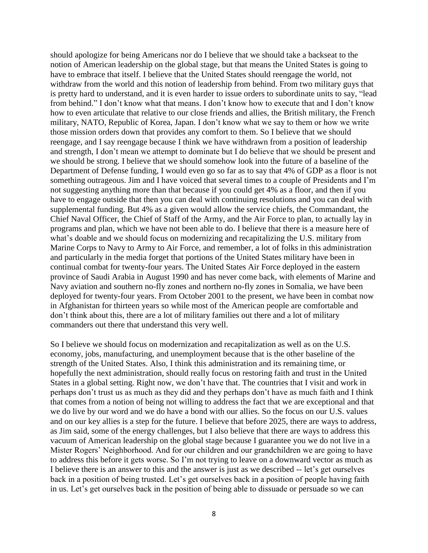should apologize for being Americans nor do I believe that we should take a backseat to the notion of American leadership on the global stage, but that means the United States is going to have to embrace that itself. I believe that the United States should reengage the world, not withdraw from the world and this notion of leadership from behind. From two military guys that is pretty hard to understand, and it is even harder to issue orders to subordinate units to say, "lead from behind." I don't know what that means. I don't know how to execute that and I don't know how to even articulate that relative to our close friends and allies, the British military, the French military, NATO, Republic of Korea, Japan. I don't know what we say to them or how we write those mission orders down that provides any comfort to them. So I believe that we should reengage, and I say reengage because I think we have withdrawn from a position of leadership and strength, I don't mean we attempt to dominate but I do believe that we should be present and we should be strong. I believe that we should somehow look into the future of a baseline of the Department of Defense funding, I would even go so far as to say that 4% of GDP as a floor is not something outrageous. Jim and I have voiced that several times to a couple of Presidents and I'm not suggesting anything more than that because if you could get 4% as a floor, and then if you have to engage outside that then you can deal with continuing resolutions and you can deal with supplemental funding. But 4% as a given would allow the service chiefs, the Commandant, the Chief Naval Officer, the Chief of Staff of the Army, and the Air Force to plan, to actually lay in programs and plan, which we have not been able to do. I believe that there is a measure here of what's doable and we should focus on modernizing and recapitalizing the U.S. military from Marine Corps to Navy to Army to Air Force, and remember, a lot of folks in this administration and particularly in the media forget that portions of the United States military have been in continual combat for twenty-four years. The United States Air Force deployed in the eastern province of Saudi Arabia in August 1990 and has never come back, with elements of Marine and Navy aviation and southern no-fly zones and northern no-fly zones in Somalia, we have been deployed for twenty-four years. From October 2001 to the present, we have been in combat now in Afghanistan for thirteen years so while most of the American people are comfortable and don't think about this, there are a lot of military families out there and a lot of military commanders out there that understand this very well.

So I believe we should focus on modernization and recapitalization as well as on the U.S. economy, jobs, manufacturing, and unemployment because that is the other baseline of the strength of the United States. Also, I think this administration and its remaining time, or hopefully the next administration, should really focus on restoring faith and trust in the United States in a global setting. Right now, we don't have that. The countries that I visit and work in perhaps don't trust us as much as they did and they perhaps don't have as much faith and I think that comes from a notion of being not willing to address the fact that we are exceptional and that we do live by our word and we do have a bond with our allies. So the focus on our U.S. values and on our key allies is a step for the future. I believe that before 2025, there are ways to address, as Jim said, some of the energy challenges, but I also believe that there are ways to address this vacuum of American leadership on the global stage because I guarantee you we do not live in a Mister Rogers' Neighborhood. And for our children and our grandchildren we are going to have to address this before it gets worse. So I'm not trying to leave on a downward vector as much as I believe there is an answer to this and the answer is just as we described -- let's get ourselves back in a position of being trusted. Let's get ourselves back in a position of people having faith in us. Let's get ourselves back in the position of being able to dissuade or persuade so we can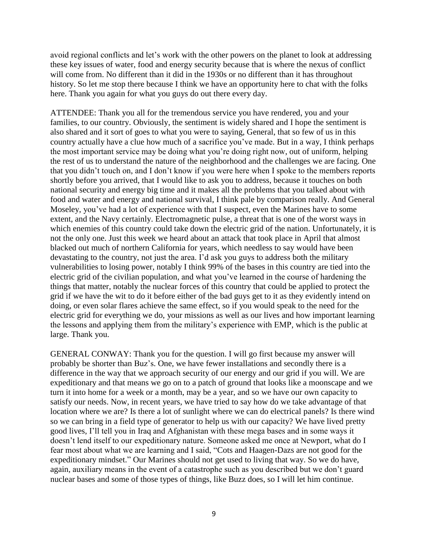avoid regional conflicts and let's work with the other powers on the planet to look at addressing these key issues of water, food and energy security because that is where the nexus of conflict will come from. No different than it did in the 1930s or no different than it has throughout history. So let me stop there because I think we have an opportunity here to chat with the folks here. Thank you again for what you guys do out there every day.

ATTENDEE: Thank you all for the tremendous service you have rendered, you and your families, to our country. Obviously, the sentiment is widely shared and I hope the sentiment is also shared and it sort of goes to what you were to saying, General, that so few of us in this country actually have a clue how much of a sacrifice you've made. But in a way, I think perhaps the most important service may be doing what you're doing right now, out of uniform, helping the rest of us to understand the nature of the neighborhood and the challenges we are facing. One that you didn't touch on, and I don't know if you were here when I spoke to the members reports shortly before you arrived, that I would like to ask you to address, because it touches on both national security and energy big time and it makes all the problems that you talked about with food and water and energy and national survival, I think pale by comparison really. And General Moseley, you've had a lot of experience with that I suspect, even the Marines have to some extent, and the Navy certainly. Electromagnetic pulse, a threat that is one of the worst ways in which enemies of this country could take down the electric grid of the nation. Unfortunately, it is not the only one. Just this week we heard about an attack that took place in April that almost blacked out much of northern California for years, which needless to say would have been devastating to the country, not just the area. I'd ask you guys to address both the military vulnerabilities to losing power, notably I think 99% of the bases in this country are tied into the electric grid of the civilian population, and what you've learned in the course of hardening the things that matter, notably the nuclear forces of this country that could be applied to protect the grid if we have the wit to do it before either of the bad guys get to it as they evidently intend on doing, or even solar flares achieve the same effect, so if you would speak to the need for the electric grid for everything we do, your missions as well as our lives and how important learning the lessons and applying them from the military's experience with EMP, which is the public at large. Thank you.

GENERAL CONWAY: Thank you for the question. I will go first because my answer will probably be shorter than Buz's. One, we have fewer installations and secondly there is a difference in the way that we approach security of our energy and our grid if you will. We are expeditionary and that means we go on to a patch of ground that looks like a moonscape and we turn it into home for a week or a month, may be a year, and so we have our own capacity to satisfy our needs. Now, in recent years, we have tried to say how do we take advantage of that location where we are? Is there a lot of sunlight where we can do electrical panels? Is there wind so we can bring in a field type of generator to help us with our capacity? We have lived pretty good lives, I'll tell you in Iraq and Afghanistan with these mega bases and in some ways it doesn't lend itself to our expeditionary nature. Someone asked me once at Newport, what do I fear most about what we are learning and I said, "Cots and Haagen-Dazs are not good for the expeditionary mindset." Our Marines should not get used to living that way. So we do have, again, auxiliary means in the event of a catastrophe such as you described but we don't guard nuclear bases and some of those types of things, like Buzz does, so I will let him continue.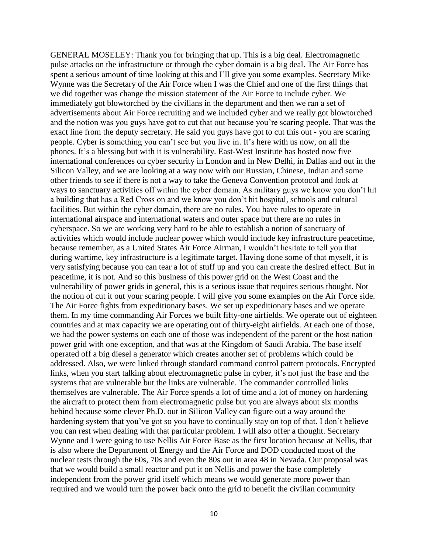GENERAL MOSELEY: Thank you for bringing that up. This is a big deal. Electromagnetic pulse attacks on the infrastructure or through the cyber domain is a big deal. The Air Force has spent a serious amount of time looking at this and I'll give you some examples. Secretary Mike Wynne was the Secretary of the Air Force when I was the Chief and one of the first things that we did together was change the mission statement of the Air Force to include cyber. We immediately got blowtorched by the civilians in the department and then we ran a set of advertisements about Air Force recruiting and we included cyber and we really got blowtorched and the notion was you guys have got to cut that out because you're scaring people. That was the exact line from the deputy secretary. He said you guys have got to cut this out - you are scaring people. Cyber is something you can't see but you live in. It's here with us now, on all the phones. It's a blessing but with it is vulnerability. East-West Institute has hosted now five international conferences on cyber security in London and in New Delhi, in Dallas and out in the Silicon Valley, and we are looking at a way now with our Russian, Chinese, Indian and some other friends to see if there is not a way to take the Geneva Convention protocol and look at ways to sanctuary activities off within the cyber domain. As military guys we know you don't hit a building that has a Red Cross on and we know you don't hit hospital, schools and cultural facilities. But within the cyber domain, there are no rules. You have rules to operate in international airspace and international waters and outer space but there are no rules in cyberspace. So we are working very hard to be able to establish a notion of sanctuary of activities which would include nuclear power which would include key infrastructure peacetime, because remember, as a United States Air Force Airman, I wouldn't hesitate to tell you that during wartime, key infrastructure is a legitimate target. Having done some of that myself, it is very satisfying because you can tear a lot of stuff up and you can create the desired effect. But in peacetime, it is not. And so this business of this power grid on the West Coast and the vulnerability of power grids in general, this is a serious issue that requires serious thought. Not the notion of cut it out your scaring people. I will give you some examples on the Air Force side. The Air Force fights from expeditionary bases. We set up expeditionary bases and we operate them. In my time commanding Air Forces we built fifty-one airfields. We operate out of eighteen countries and at max capacity we are operating out of thirty-eight airfields. At each one of those, we had the power systems on each one of those was independent of the parent or the host nation power grid with one exception, and that was at the Kingdom of Saudi Arabia. The base itself operated off a big diesel a generator which creates another set of problems which could be addressed. Also, we were linked through standard command control pattern protocols. Encrypted links, when you start talking about electromagnetic pulse in cyber, it's not just the base and the systems that are vulnerable but the links are vulnerable. The commander controlled links themselves are vulnerable. The Air Force spends a lot of time and a lot of money on hardening the aircraft to protect them from electromagnetic pulse but you are always about six months behind because some clever Ph.D. out in Silicon Valley can figure out a way around the hardening system that you've got so you have to continually stay on top of that. I don't believe you can rest when dealing with that particular problem. I will also offer a thought. Secretary Wynne and I were going to use Nellis Air Force Base as the first location because at Nellis, that is also where the Department of Energy and the Air Force and DOD conducted most of the nuclear tests through the 60s, 70s and even the 80s out in area 48 in Nevada. Our proposal was that we would build a small reactor and put it on Nellis and power the base completely independent from the power grid itself which means we would generate more power than required and we would turn the power back onto the grid to benefit the civilian community